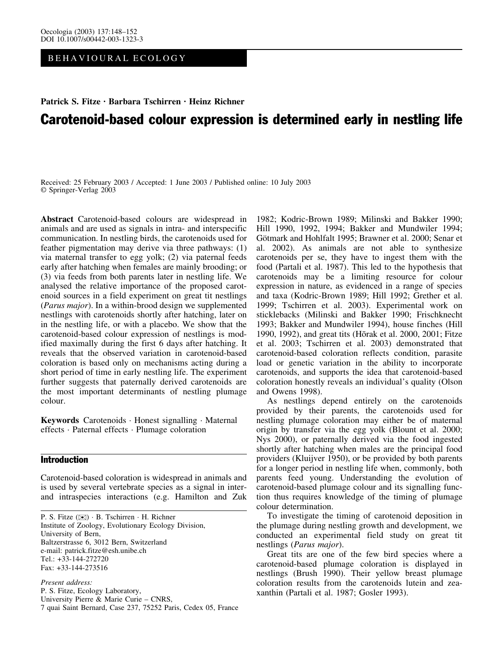BEHAVIOURAL ECOLOGY

# Patrick S. Fitze · Barbara Tschirren · Heinz Richner Carotenoid-based colour expression is determined early in nestling life

Received: 25 February 2003 / Accepted: 1 June 2003 / Published online: 10 July 2003 Springer-Verlag 2003

Abstract Carotenoid-based colours are widespread in animals and are used as signals in intra- and interspecific communication. In nestling birds, the carotenoids used for feather pigmentation may derive via three pathways: (1) via maternal transfer to egg yolk; (2) via paternal feeds early after hatching when females are mainly brooding; or (3) via feeds from both parents later in nestling life. We analysed the relative importance of the proposed carotenoid sources in a field experiment on great tit nestlings (Parus major). In a within-brood design we supplemented nestlings with carotenoids shortly after hatching, later on in the nestling life, or with a placebo. We show that the carotenoid-based colour expression of nestlings is modified maximally during the first 6 days after hatching. It reveals that the observed variation in carotenoid-based coloration is based only on mechanisms acting during a short period of time in early nestling life. The experiment further suggests that paternally derived carotenoids are the most important determinants of nestling plumage colour.

Keywords Carotenoids · Honest signalling · Maternal effects · Paternal effects · Plumage coloration

# Introduction

Carotenoid-based coloration is widespread in animals and is used by several vertebrate species as a signal in interand intraspecies interactions (e.g. Hamilton and Zuk

P. S. Fitze ( $\bowtie$ ) · B. Tschirren · H. Richner Institute of Zoology, Evolutionary Ecology Division, University of Bern, Baltzerstrasse 6, 3012 Bern, Switzerland e-mail: patrick.fitze@esh.unibe.ch Tel.: +33-144-272720 Fax: +33-144-273516

Present address: P. S. Fitze, Ecology Laboratory, University Pierre & Marie Curie – CNRS, 7 quai Saint Bernard, Case 237, 75252 Paris, Cedex 05, France

1982; Kodric-Brown 1989; Milinski and Bakker 1990; Hill 1990, 1992, 1994; Bakker and Mundwiler 1994; Götmark and Hohlfalt 1995; Brawner et al. 2000; Senar et al. 2002). As animals are not able to synthesize carotenoids per se, they have to ingest them with the food (Partali et al. 1987). This led to the hypothesis that carotenoids may be a limiting resource for colour expression in nature, as evidenced in a range of species and taxa (Kodric-Brown 1989; Hill 1992; Grether et al. 1999; Tschirren et al. 2003). Experimental work on sticklebacks (Milinski and Bakker 1990; Frischknecht 1993; Bakker and Mundwiler 1994), house finches (Hill 1990, 1992), and great tits (Hōrak et al. 2000, 2001; Fitze et al. 2003; Tschirren et al. 2003) demonstrated that carotenoid-based coloration reflects condition, parasite load or genetic variation in the ability to incorporate carotenoids, and supports the idea that carotenoid-based coloration honestly reveals an individual's quality (Olson and Owens 1998).

As nestlings depend entirely on the carotenoids provided by their parents, the carotenoids used for nestling plumage coloration may either be of maternal origin by transfer via the egg yolk (Blount et al. 2000; Nys 2000), or paternally derived via the food ingested shortly after hatching when males are the principal food providers (Kluijver 1950), or be provided by both parents for a longer period in nestling life when, commonly, both parents feed young. Understanding the evolution of carotenoid-based plumage colour and its signalling function thus requires knowledge of the timing of plumage colour determination.

To investigate the timing of carotenoid deposition in the plumage during nestling growth and development, we conducted an experimental field study on great tit nestlings (Parus major).

Great tits are one of the few bird species where a carotenoid-based plumage coloration is displayed in nestlings (Brush 1990). Their yellow breast plumage coloration results from the carotenoids lutein and zeaxanthin (Partali et al. 1987; Gosler 1993).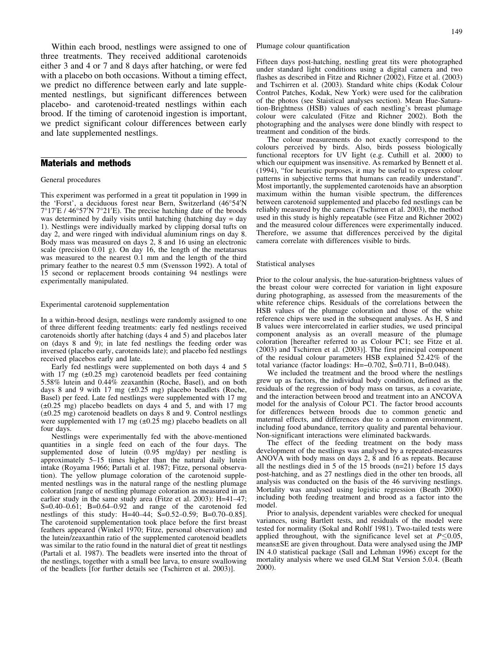Within each brood, nestlings were assigned to one of three treatments. They received additional carotenoids either 3 and 4 or 7 and 8 days after hatching, or were fed with a placebo on both occasions. Without a timing effect, we predict no difference between early and late supplemented nestlings, but significant differences between placebo- and carotenoid-treated nestlings within each brood. If the timing of carotenoid ingestion is important, we predict significant colour differences between early and late supplemented nestlings.

### Materials and methods

#### General procedures

This experiment was performed in a great tit population in 1999 in the 'Forst', a deciduous forest near Bern, Switzerland (46°54'N 7°17'E / 46°57'N 7°21'E). The precise hatching date of the broods was determined by daily visits until hatching (hatching day  $=$  day 1). Nestlings were individually marked by clipping dorsal tufts on day 2, and were ringed with individual aluminium rings on day 8. Body mass was measured on days 2, 8 and 16 using an electronic scale (precision 0.01 g). On day 16, the length of the metatarsus was measured to the nearest 0.1 mm and the length of the third primary feather to the nearest 0.5 mm (Svensson 1992). A total of 15 second or replacement broods containing 94 nestlings were experimentally manipulated.

#### Experimental carotenoid supplementation

In a within-brood design, nestlings were randomly assigned to one of three different feeding treatments: early fed nestlings received carotenoids shortly after hatching (days 4 and 5) and placebos later on (days 8 and 9); in late fed nestlings the feeding order was inversed (placebo early, carotenoids late); and placebo fed nestlings received placebos early and late.

Early fed nestlings were supplemented on both days 4 and 5 with 17 mg  $(\pm 0.25 \text{ mg})$  carotenoid beadlets per feed containing 5.58% lutein and 0.44% zeaxanthin (Roche, Basel), and on both days 8 and 9 with 17 mg  $(\pm 0.25 \text{ mg})$  placebo beadlets (Roche, Basel) per feed. Late fed nestlings were supplemented with 17 mg  $(\pm 0.25 \text{ mg})$  placebo beadlets on days 4 and 5, and with 17 mg  $(\pm 0.25 \text{ mg})$  carotenoid beadlets on days 8 and 9. Control nestlings were supplemented with 17 mg  $(\pm 0.25 \text{ mg})$  placebo beadlets on all four days.

Nestlings were experimentally fed with the above-mentioned quantities in a single feed on each of the four days. The supplemented dose of lutein (0.95 mg/day) per nestling is approximately 5–15 times higher than the natural daily lutein intake (Royama 1966; Partali et al. 1987; Fitze, personal observation). The yellow plumage coloration of the carotenoid supplemented nestlings was in the natural range of the nestling plumage coloration [range of nestling plumage coloration as measured in an earlier study in the same study area (Fitze et al. 2003): H=41–47; S=0.40–0.61; B=0.64–0.92 and range of the carotenoid fed nestlings of this study: H=40–44; S=0.52–0.59; B=0.70–0.85]. The carotenoid supplementation took place before the first breast feathers appeared (Winkel 1970; Fitze, personal observation) and the lutein/zeaxanthin ratio of the supplemented carotenoid beadlets was similar to the ratio found in the natural diet of great tit nestlings (Partali et al. 1987). The beadlets were inserted into the throat of the nestlings, together with a small bee larva, to ensure swallowing of the beadlets [for further details see (Tschirren et al. 2003)].

Plumage colour quantification

Fifteen days post-hatching, nestling great tits were photographed under standard light conditions using a digital camera and two flashes as described in Fitze and Richner (2002), Fitze et al. (2003) and Tschirren et al. (2003). Standard white chips (Kodak Colour Control Patches, Kodak, New York) were used for the calibration of the photos (see Staistical analyses section). Mean Hue-Saturation-Brightness (HSB) values of each nestling's breast plumage colour were calculated (Fitze and Richner 2002). Both the photographing and the analyses were done blindly with respect to treatment and condition of the birds.

The colour measurements do not exactly correspond to the colours perceived by birds. Also, birds possess biologically functional receptors for UV Iight (e.g. Cuthill et al. 2000) to which our equipment was insensitive. As remarked by Bennett et al. (1994), "for heuristic purposes, it may be useful to express colour patterns in subjective terms that humans can readily understand". Most importantly, the supplemented carotenoids have an absorption maximum within the human visible spectrum, the differences between carotenoid supplemented and placebo fed nestlings can be reliably measured by the camera (Tschirren et al. 2003), the method used in this study is highly repeatable (see Fitze and Richner 2002) and the measured colour differences were experimentally induced. Therefore, we assume that differences perceived by the digital camera correlate with differences visible to birds.

#### Statistical analyses

Prior to the colour analysis, the hue-saturation-brightness values of the breast colour were corrected for variation in light exposure during photographing, as assessed from the measurements of the white reference chips. Residuals of the correlations between the HSB values of the plumage coloration and those of the white reference chips were used in the subsequent analyses. As H, S and B values were intercorrelated in earlier studies, we used principal component analysis as an overall measure of the plumage coloration [hereafter referred to as Colour PC1; see Fitze et al. (2003) and Tschirren et al. (2003)]. The first principal component of the residual colour parameters HSB explained 52.42% of the total variance (factor loadings: H= $-0.702$ ,  $\hat{S}=0.711$ , B=0.048).

We included the treatment and the brood where the nestlings grew up as factors, the individual body condition, defined as the residuals of the regression of body mass on tarsus, as a covariate, and the interaction between brood and treatment into an ANCOVA model for the analysis of Colour PC1. The factor brood accounts for differences between broods due to common genetic and maternal effects, and differences due to a common environment, including food abundance, territory quality and parental behaviour. Non-significant interactions were eliminated backwards.

The effect of the feeding treatment on the body mass development of the nestlings was analysed by a repeated-measures ANOVA with body mass on days 2, 8 and 16 as repeats. Because all the nestlings died in 5 of the 15 broods (n=21) before 15 days post-hatching, and as 27 nestlings died in the other ten broods, all analysis was conducted on the basis of the 46 surviving nestlings. Mortality was analysed using logistic regression (Beath 2000) including both feeding treatment and brood as a factor into the model.

Prior to analysis, dependent variables were checked for unequal variances, using Bartlett tests, and residuals of the model were tested for normality (Sokal and Rohlf 1981). Two-tailed tests were applied throughout, with the significance level set at  $P\leq 0.05$ , means±SE are given throughout. Data were analysed using the JMP IN 4.0 statistical package (Sall and Lehman 1996) except for the mortality analysis where we used GLM Stat Version 5.0.4. (Beath 2000).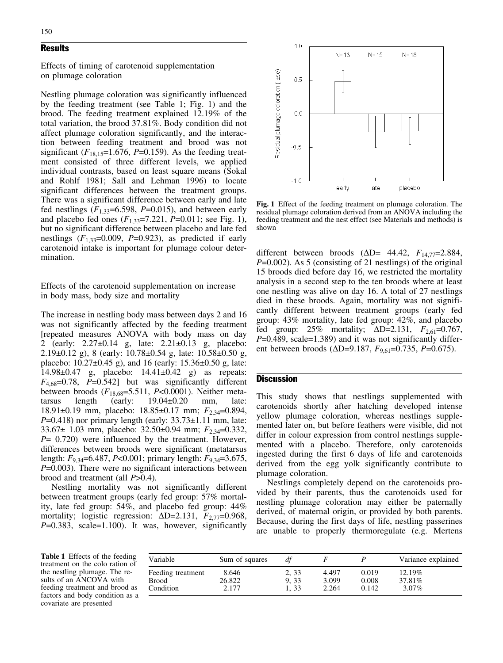# **Results**

Effects of timing of carotenoid supplementation on plumage coloration

Nestling plumage coloration was significantly influenced by the feeding treatment (see Table 1; Fig. 1) and the brood. The feeding treatment explained 12.19% of the total variation, the brood 37.81%. Body condition did not affect plumage coloration significantly, and the interaction between feeding treatment and brood was not significant  $(F_{18,15}=1.676, P=0.159)$ . As the feeding treatment consisted of three different levels, we applied individual contrasts, based on least square means (Sokal and Rohlf 1981; Sall and Lehman 1996) to locate significant differences between the treatment groups. There was a significant difference between early and late fed nestlings  $(F_{1,33}=6.598, P=0.015)$ , and between early and placebo fed ones  $(F_{1,33}=7.221, P=0.011;$  see Fig. 1), but no significant difference between placebo and late fed nestlings  $(F_{1,33}=0.009, P=0.923)$ , as predicted if early carotenoid intake is important for plumage colour determination.

Effects of the carotenoid supplementation on increase in body mass, body size and mortality

The increase in nestling body mass between days 2 and 16 was not significantly affected by the feeding treatment [repeated measures ANOVA with body mass on day 2 (early: 2.27±0.14 g, late: 2.21±0.13 g, placebo: 2.19 $\pm$ 0.12 g), 8 (early: 10.78 $\pm$ 0.54 g, late: 10.58 $\pm$ 0.50 g, placebo:  $10.27\pm0.45$  g), and 16 (early:  $15.36\pm0.50$  g, late: 14.98±0.47 g, placebo: 14.41±0.42 g) as repeats:  $F_{4,68}=0.78$ ,  $P=0.542$  but was significantly different between broods  $(F_{18,68}=5.511, P<0.0001)$ . Neither metatarsus length (early: 19.04±0.20 mm, late: 18.91±0.19 mm, placebo: 18.85±0.17 mm;  $F_{2,34}$ =0.894,  $P=0.418$ ) nor primary length (early:  $33.73\pm1.11$  mm, late: 33.67± 1.03 mm, placebo: 32.50±0.94 mm;  $F_{2,34}$ =0.332,  $P= 0.720$ ) were influenced by the treatment. However, differences between broods were significant (metatarsus length:  $F_{9,34}$ =6.487, P<0.001; primary length:  $F_{9,34}$ =3.675,  $P=0.003$ ). There were no significant interactions between brood and treatment (all P>0.4).

Nestling mortality was not significantly different between treatment groups (early fed group: 57% mortality, late fed group: 54%, and placebo fed group: 44% mortality; logistic regression:  $\Delta D=2.131$ ,  $F_{2,77}=0.968$ ,  $P=0.383$ , scale=1.100). It was, however, significantly



Fig. 1 Effect of the feeding treatment on plumage coloration. The residual plumage coloration derived from an ANOVA including the feeding treatment and the nest effect (see Materials and methods) is shown

different between broods  $(\Delta D= 44.42, F_{14.77}=2.884,$  $P=0.002$ ). As 5 (consisting of 21 nestlings) of the original 15 broods died before day 16, we restricted the mortality analysis in a second step to the ten broods where at least one nestling was alive on day 16. A total of 27 nestlings died in these broods. Again, mortality was not significantly different between treatment groups (early fed group: 43% mortality, late fed group: 42%, and placebo fed group:  $25\%$  mortality;  $\Delta D=2.131$ ,  $F_{2.61}=0.767$ ,  $P=0.489$ , scale=1.389) and it was not significantly different between broods ( $\Delta D=9.187$ ,  $F_{9.61}=0.735$ ,  $P=0.675$ ).

## **Discussion**

This study shows that nestlings supplemented with carotenoids shortly after hatching developed intense yellow plumage coloration, whereas nestlings supplemented later on, but before feathers were visible, did not differ in colour expression from control nestlings supplemented with a placebo. Therefore, only carotenoids ingested during the first 6 days of life and carotenoids derived from the egg yolk significantly contribute to plumage coloration.

Nestlings completely depend on the carotenoids provided by their parents, thus the carotenoids used for nestling plumage coloration may either be paternally derived, of maternal origin, or provided by both parents. Because, during the first days of life, nestling passerines are unable to properly thermoregulate (e.g. Mertens

Table 1 Effects of the feeding treatment on the colo ration of the nestling plumage. The results of an ANCOVA with feeding treatment and brood as factors and body condition as a covariate are presented

| Variable          | Sum of squares | df    |       |       | Variance explained |
|-------------------|----------------|-------|-------|-------|--------------------|
| Feeding treatment | 8.646          | 2, 33 | 4.497 | 0.019 | 12.19%             |
| <b>Brood</b>      | 26.822         | 9.33  | 3.099 | 0.008 | 37.81\%            |
| Condition         | 2.177          | 1.33  | 2.264 | 0.142 | $3.07\%$           |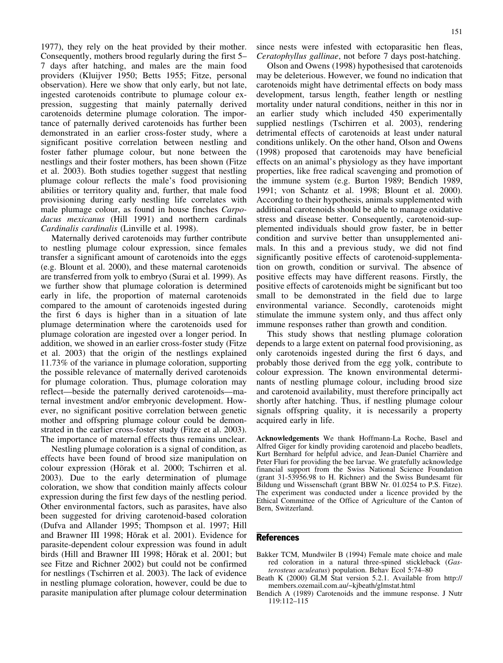1977), they rely on the heat provided by their mother. Consequently, mothers brood regularly during the first 5– 7 days after hatching, and males are the main food providers (Kluijver 1950; Betts 1955; Fitze, personal observation). Here we show that only early, but not late, ingested carotenoids contribute to plumage colour expression, suggesting that mainly paternally derived carotenoids determine plumage coloration. The importance of paternally derived carotenoids has further been demonstrated in an earlier cross-foster study, where a significant positive correlation between nestling and foster father plumage colour, but none between the nestlings and their foster mothers, has been shown (Fitze et al. 2003). Both studies together suggest that nestling plumage colour reflects the male's food provisioning abilities or territory quality and, further, that male food provisioning during early nestling life correlates with male plumage colour, as found in house finches Carpodacus mexicanus (Hill 1991) and northern cardinals Cardinalis cardinalis (Linville et al. 1998).

Maternally derived carotenoids may further contribute to nestling plumage colour expression, since females transfer a significant amount of carotenoids into the eggs (e.g. Blount et al. 2000), and these maternal carotenoids are transferred from yolk to embryo (Surai et al. 1999). As we further show that plumage coloration is determined early in life, the proportion of maternal carotenoids compared to the amount of carotenoids ingested during the first 6 days is higher than in a situation of late plumage determination where the carotenoids used for plumage coloration are ingested over a longer period. In addition, we showed in an earlier cross-foster study (Fitze et al. 2003) that the origin of the nestlings explained 11.73% of the variance in plumage coloration, supporting the possible relevance of maternally derived carotenoids for plumage coloration. Thus, plumage coloration may reflect—beside the paternally derived carotenoids—maternal investment and/or embryonic development. However, no significant positive correlation between genetic mother and offspring plumage colour could be demonstrated in the earlier cross-foster study (Fitze et al. 2003). The importance of maternal effects thus remains unclear.

Nestling plumage coloration is a signal of condition, as effects have been found of brood size manipulation on colour expression (Hōrak et al. 2000; Tschirren et al. 2003). Due to the early determination of plumage coloration, we show that condition mainly affects colour expression during the first few days of the nestling period. Other environmental factors, such as parasites, have also been suggested for driving carotenoid-based coloration (Dufva and Allander 1995; Thompson et al. 1997; Hill and Brawner III 1998; Hōrak et al. 2001). Evidence for parasite-dependent colour expression was found in adult birds (Hill and Brawner III 1998; Horak et al. 2001; but see Fitze and Richner 2002) but could not be confirmed for nestlings (Tschirren et al. 2003). The lack of evidence in nestling plumage coloration, however, could be due to parasite manipulation after plumage colour determination

since nests were infested with ectoparasitic hen fleas, Ceratophyllus gallinae, not before 7 days post-hatching.

Olson and Owens (1998) hypothesised that carotenoids may be deleterious. However, we found no indication that carotenoids might have detrimental effects on body mass development, tarsus length, feather length or nestling mortality under natural conditions, neither in this nor in an earlier study which included 450 experimentally supplied nestlings (Tschirren et al. 2003), rendering detrimental effects of carotenoids at least under natural conditions unlikely. On the other hand, Olson and Owens (1998) proposed that carotenoids may have beneficial effects on an animal's physiology as they have important properties, like free radical scavenging and promotion of the immune system (e.g. Burton 1989; Bendich 1989, 1991; von Schantz et al. 1998; Blount et al. 2000). According to their hypothesis, animals supplemented with additional carotenoids should be able to manage oxidative stress and disease better. Consequently, carotenoid-supplemented individuals should grow faster, be in better condition and survive better than unsupplemented animals. In this and a previous study, we did not find significantly positive effects of carotenoid-supplementation on growth, condition or survival. The absence of positive effects may have different reasons. Firstly, the positive effects of carotenoids might be significant but too small to be demonstrated in the field due to large environmental variance. Secondly, carotenoids might stimulate the immune system only, and thus affect only immune responses rather than growth and condition.

This study shows that nestling plumage coloration depends to a large extent on paternal food provisioning, as only carotenoids ingested during the first 6 days, and probably those derived from the egg yolk, contribute to colour expression. The known environmental determinants of nestling plumage colour, including brood size and carotenoid availability, must therefore principally act shortly after hatching. Thus, if nestling plumage colour signals offspring quality, it is necessarily a property acquired early in life.

Acknowledgements We thank Hoffmann-La Roche, Basel and Alfred Giger for kindly providing carotenoid and placebo beadlets, Kurt Bernhard for helpful advice, and Jean-Daniel Charrière and Peter Fluri for providing the bee larvae. We gratefully acknowledge financial support from the Swiss National Science Foundation (grant 31-53956.98 to H. Richner) and the Swiss Bundesamt für Bildung und Wissenschaft (grant BBW Nr. 01.0254 to P.S. Fitze). The experiment was conducted under a licence provided by the Ethical Committee of the Office of Agriculture of the Canton of Bern, Switzerland.

## **References**

- Bakker TCM, Mundwiler B (1994) Female mate choice and male red coloration in a natural three-spined stickleback (Gasterosteus aculeatus) population. Behav Ecol 5:74–80
- Beath K (2000) GLM Stat version 5.2.1. Available from http:// members.ozemail.com.au/~kjbeath/glmstat.html
- Bendich A (1989) Carotenoids and the immune response. J Nutr 119:112–115